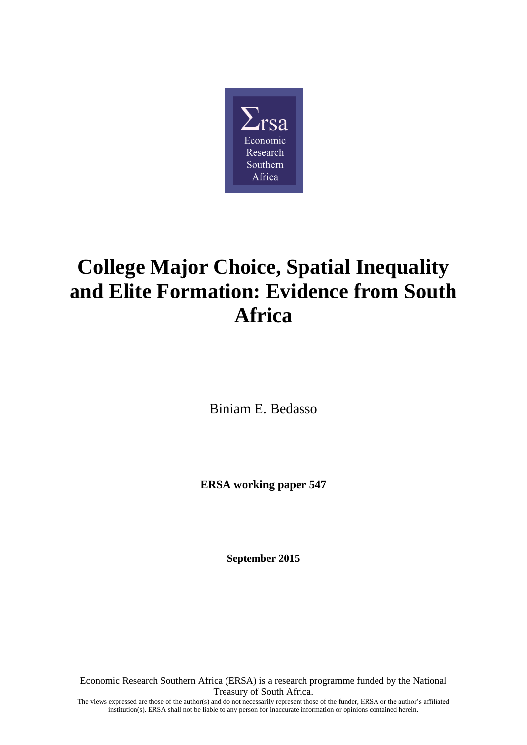

# **College Major Choice, Spatial Inequality and Elite Formation: Evidence from South Africa**

Biniam E. Bedasso

**ERSA working paper 547**

**September 2015**

Economic Research Southern Africa (ERSA) is a research programme funded by the National Treasury of South Africa. The views expressed are those of the author(s) and do not necessarily represent those of the funder, ERSA or the author's affiliated

institution(s). ERSA shall not be liable to any person for inaccurate information or opinions contained herein.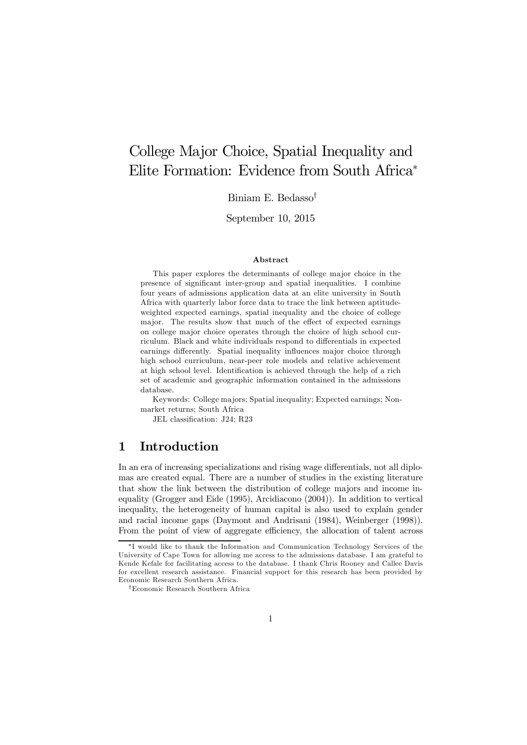# College Major Choice, Spatial Inequality and Elite Formation: Evidence from South Africa<sup>∗</sup>

Biniam E. Bedasso†

September 10, 2015

#### Abstract

This paper explores the determinants of college major choice in the presence of significant inter-group and spatial inequalities. I combine four years of admissions application data at an elite university in South Africa with quarterly labor force data to trace the link between aptitudeweighted expected earnings, spatial inequality and the choice of college major. The results show that much of the effect of expected earnings on college major choice operates through the choice of high school curriculum. Black and white individuals respond to differentials in expected earnings differently. Spatial inequality influences major choice through high school curriculum, near-peer role models and relative achievement at high school level. Identification is achieved through the help of a rich set of academic and geographic information contained in the admissions database.

Keywords: College majors; Spatial inequality; Expected earnings; Nonmarket returns; South Africa

JEL classification: J24; R23

#### 1 Introduction

In an era of increasing specializations and rising wage differentials, not all diplomas are created equal. There are a number of studies in the existing literature that show the link between the distribution of college majors and income inequality (Grogger and Eide (1995), Arcidiacono (2004)). In addition to vertical inequality, the heterogeneity of human capital is also used to explain gender and racial income gaps (Daymont and Andrisani (1984), Weinberger (1998)). From the point of view of aggregate efficiency, the allocation of talent across

<sup>∗</sup> I would like to thank the Information and Communication Technology Services of the University of Cape Town for allowing me access to the admissions database. I am grateful to Kende Kefale for facilitating access to the database. I thank Chris Rooney and Callee Davis for excellent research assistance. Financial support for this research has been provided by Economic Research Southern Africa.

<sup>†</sup>Economic Research Southern Africa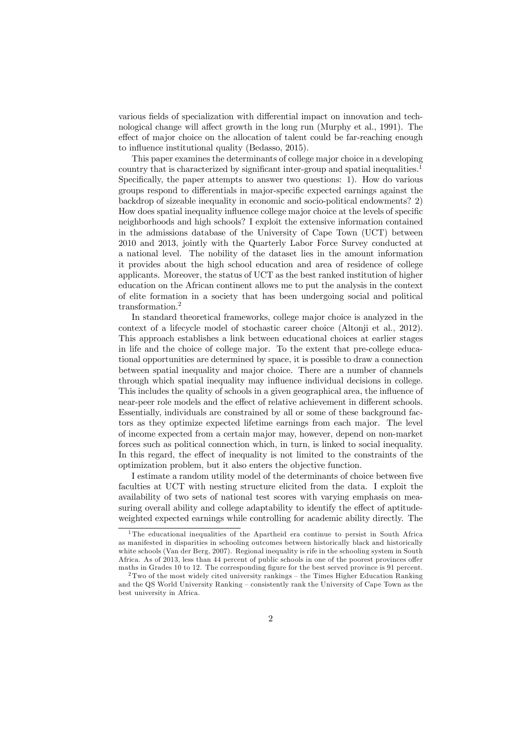various fields of specialization with differential impact on innovation and technological change will affect growth in the long run (Murphy et al., 1991). The effect of major choice on the allocation of talent could be far-reaching enough to influence institutional quality (Bedasso, 2015).

This paper examines the determinants of college major choice in a developing country that is characterized by significant inter-group and spatial inequalities.<sup>1</sup> Specifically, the paper attempts to answer two questions: 1). How do various groups respond to differentials in major-specific expected earnings against the backdrop of sizeable inequality in economic and socio-political endowments? 2) How does spatial inequality influence college major choice at the levels of specific neighborhoods and high schools? I exploit the extensive information contained in the admissions database of the University of Cape Town (UCT) between 2010 and 2013, jointly with the Quarterly Labor Force Survey conducted at a national level. The nobility of the dataset lies in the amount information it provides about the high school education and area of residence of college applicants. Moreover, the status of UCT as the best ranked institution of higher education on the African continent allows me to put the analysis in the context of elite formation in a society that has been undergoing social and political transformation.<sup>2</sup>

In standard theoretical frameworks, college major choice is analyzed in the context of a lifecycle model of stochastic career choice (Altonji et al., 2012). This approach establishes a link between educational choices at earlier stages in life and the choice of college major. To the extent that pre-college educational opportunities are determined by space, it is possible to draw a connection between spatial inequality and major choice. There are a number of channels through which spatial inequality may influence individual decisions in college. This includes the quality of schools in a given geographical area, the influence of near-peer role models and the effect of relative achievement in different schools. Essentially, individuals are constrained by all or some of these background factors as they optimize expected lifetime earnings from each major. The level of income expected from a certain major may, however, depend on non-market forces such as political connection which, in turn, is linked to social inequality. In this regard, the effect of inequality is not limited to the constraints of the optimization problem, but it also enters the objective function.

I estimate a random utility model of the determinants of choice between five faculties at UCT with nesting structure elicited from the data. I exploit the availability of two sets of national test scores with varying emphasis on measuring overall ability and college adaptability to identify the effect of aptitudeweighted expected earnings while controlling for academic ability directly. The

<sup>&</sup>lt;sup>1</sup>The educational inequalities of the Apartheid era continue to persist in South Africa as manifested in disparities in schooling outcomes between historically black and historically white schools (Van der Berg, 2007). Regional inequality is rife in the schooling system in South Africa. As of 2013, less than 44 percent of public schools in one of the poorest provinces offer maths in Grades 10 to 12. The corresponding figure for the best served province is 91 percent.

 $2$ Two of the most widely cited university rankings – the Times Higher Education Ranking and the QS World University Ranking — consistently rank the University of Cape Town as the best university in Africa.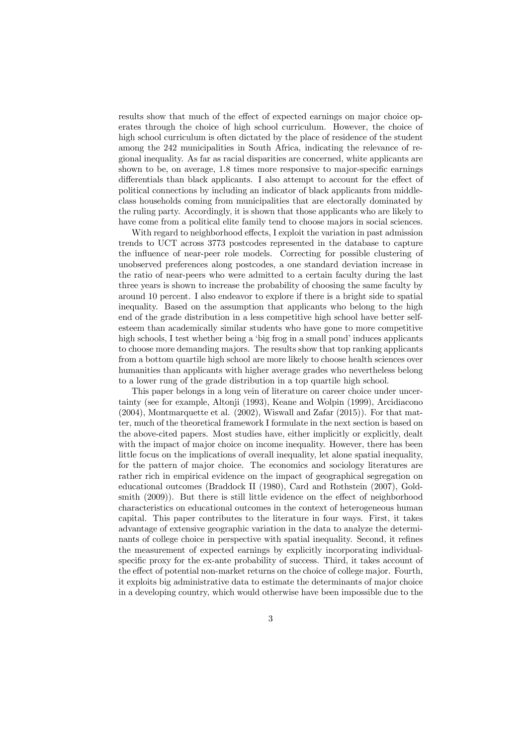results show that much of the effect of expected earnings on major choice operates through the choice of high school curriculum. However, the choice of high school curriculum is often dictated by the place of residence of the student among the 242 municipalities in South Africa, indicating the relevance of regional inequality. As far as racial disparities are concerned, white applicants are shown to be, on average, 1.8 times more responsive to major-specific earnings differentials than black applicants. I also attempt to account for the effect of political connections by including an indicator of black applicants from middleclass households coming from municipalities that are electorally dominated by the ruling party. Accordingly, it is shown that those applicants who are likely to have come from a political elite family tend to choose majors in social sciences.

With regard to neighborhood effects, I exploit the variation in past admission trends to UCT across 3773 postcodes represented in the database to capture the influence of near-peer role models. Correcting for possible clustering of unobserved preferences along postcodes, a one standard deviation increase in the ratio of near-peers who were admitted to a certain faculty during the last three years is shown to increase the probability of choosing the same faculty by around 10 percent. I also endeavor to explore if there is a bright side to spatial inequality. Based on the assumption that applicants who belong to the high end of the grade distribution in a less competitive high school have better selfesteem than academically similar students who have gone to more competitive high schools, I test whether being a 'big frog in a small pond' induces applicants to choose more demanding majors. The results show that top ranking applicants from a bottom quartile high school are more likely to choose health sciences over humanities than applicants with higher average grades who nevertheless belong to a lower rung of the grade distribution in a top quartile high school.

This paper belongs in a long vein of literature on career choice under uncertainty (see for example, Altonji (1993), Keane and Wolpin (1999), Arcidiacono  $(2004)$ , Montmarquette et al.  $(2002)$ , Wiswall and Zafar  $(2015)$ ). For that matter, much of the theoretical framework I formulate in the next section is based on the above-cited papers. Most studies have, either implicitly or explicitly, dealt with the impact of major choice on income inequality. However, there has been little focus on the implications of overall inequality, let alone spatial inequality, for the pattern of major choice. The economics and sociology literatures are rather rich in empirical evidence on the impact of geographical segregation on educational outcomes (Braddock II (1980), Card and Rothstein (2007), Goldsmith (2009)). But there is still little evidence on the effect of neighborhood characteristics on educational outcomes in the context of heterogeneous human capital. This paper contributes to the literature in four ways. First, it takes advantage of extensive geographic variation in the data to analyze the determinants of college choice in perspective with spatial inequality. Second, it refines the measurement of expected earnings by explicitly incorporating individualspecific proxy for the ex-ante probability of success. Third, it takes account of the effect of potential non-market returns on the choice of college major. Fourth, it exploits big administrative data to estimate the determinants of major choice in a developing country, which would otherwise have been impossible due to the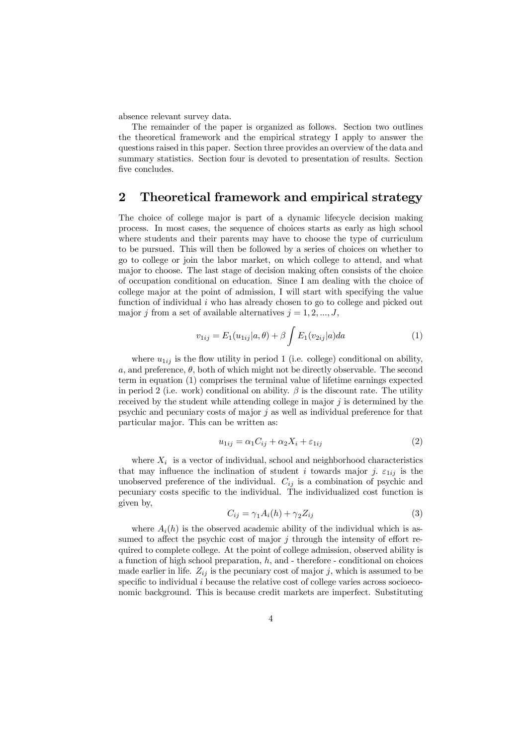absence relevant survey data.

The remainder of the paper is organized as follows. Section two outlines the theoretical framework and the empirical strategy I apply to answer the questions raised in this paper. Section three provides an overview of the data and summary statistics. Section four is devoted to presentation of results. Section five concludes.

#### 2 Theoretical framework and empirical strategy

The choice of college major is part of a dynamic lifecycle decision making process. In most cases, the sequence of choices starts as early as high school where students and their parents may have to choose the type of curriculum to be pursued. This will then be followed by a series of choices on whether to go to college or join the labor market, on which college to attend, and what major to choose. The last stage of decision making often consists of the choice of occupation conditional on education. Since I am dealing with the choice of college major at the point of admission, I will start with specifying the value function of individual  $i$  who has already chosen to go to college and picked out major j from a set of available alternatives  $j = 1, 2, ..., J$ ,

$$
v_{1ij} = E_1(u_{1ij}|a,\theta) + \beta \int E_1(v_{2ij}|a)da \tag{1}
$$

where  $u_{1ij}$  is the flow utility in period 1 (i.e. college) conditional on ability, a, and preference,  $\theta$ , both of which might not be directly observable. The second term in equation (1) comprises the terminal value of lifetime earnings expected in period 2 (i.e. work) conditional on ability.  $\beta$  is the discount rate. The utility received by the student while attending college in major  $j$  is determined by the psychic and pecuniary costs of major  $j$  as well as individual preference for that particular major. This can be written as:

$$
u_{1ij} = \alpha_1 C_{ij} + \alpha_2 X_i + \varepsilon_{1ij}
$$
\n<sup>(2)</sup>

where  $X_i$  is a vector of individual, school and neighborhood characteristics that may influence the inclination of student i towards major j.  $\varepsilon_{1ij}$  is the unobserved preference of the individual.  $C_{ij}$  is a combination of psychic and pecuniary costs specific to the individual. The individualized cost function is given by,

$$
C_{ij} = \gamma_1 A_i(h) + \gamma_2 Z_{ij}
$$
\n<sup>(3)</sup>

where  $A_i(h)$  is the observed academic ability of the individual which is assumed to affect the psychic cost of major  $j$  through the intensity of effort required to complete college. At the point of college admission, observed ability is a function of high school preparation,  $h$ , and  $\overline{\phantom{a}}$  - therefore  $\overline{\phantom{a}}$  - conditional on choices made earlier in life.  $Z_{ij}$  is the pecuniary cost of major j, which is assumed to be specific to individual i because the relative cost of college varies across socioeconomic background. This is because credit markets are imperfect. Substituting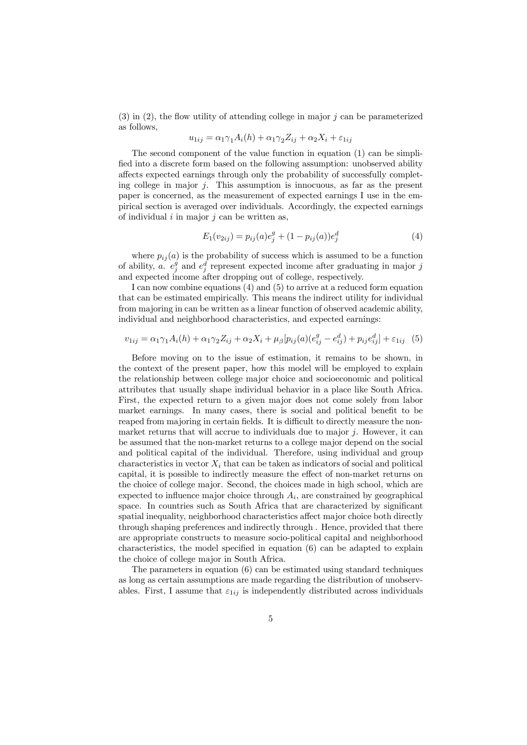$(3)$  in  $(2)$ , the flow utility of attending college in major j can be parameterized as follows,

$$
u_{1ij} = \alpha_1 \gamma_1 A_i(h) + \alpha_1 \gamma_2 Z_{ij} + \alpha_2 X_i + \varepsilon_{1ij}
$$

The second component of the value function in equation (1) can be simplified into a discrete form based on the following assumption: unobserved ability affects expected earnings through only the probability of successfully completing college in major  $j$ . This assumption is innocuous, as far as the present paper is concerned, as the measurement of expected earnings I use in the empirical section is averaged over individuals. Accordingly, the expected earnings of individual  $i$  in major  $j$  can be written as,

$$
E_1(v_{2ij}) = p_{ij}(a)e_j^g + (1 - p_{ij}(a))e_j^d
$$
\n(4)

where  $p_{ij}(a)$  is the probability of success which is assumed to be a function of ability, *a.*  $e_j^g$  and  $e_j^d$  represent expected income after graduating in major j and expected income after dropping out of college, respectively.

I can now combine equations (4) and (5) to arrive at a reduced form equation that can be estimated empirically. This means the indirect utility for individual from majoring in can be written as a linear function of observed academic ability, individual and neighborhood characteristics, and expected earnings:

$$
v_{1ij} = \alpha_1 \gamma_1 A_i(h) + \alpha_1 \gamma_2 Z_{ij} + \alpha_2 X_i + \mu_\beta [p_{ij}(a)(e_{ij}^g - e_{ij}^d) + p_{ij}e_{ij}^d] + \varepsilon_{1ij} \tag{5}
$$

Before moving on to the issue of estimation, it remains to be shown, in the context of the present paper, how this model will be employed to explain the relationship between college major choice and socioeconomic and political attributes that usually shape individual behavior in a place like South Africa. First, the expected return to a given major does not come solely from labor market earnings. In many cases, there is social and political benefit to be reaped from majoring in certain fields. It is difficult to directly measure the nonmarket returns that will accrue to individuals due to major  $i$ . However, it can be assumed that the non-market returns to a college major depend on the social and political capital of the individual. Therefore, using individual and group characteristics in vector  $X_i$  that can be taken as indicators of social and political capital, it is possible to indirectly measure the effect of non-market returns on the choice of college major. Second, the choices made in high school, which are expected to influence major choice through  $A_i$ , are constrained by geographical space. In countries such as South Africa that are characterized by significant spatial inequality, neighborhood characteristics affect major choice both directly through shaping preferences and indirectly through . Hence, provided that there are appropriate constructs to measure socio-political capital and neighborhood characteristics, the model specified in equation (6) can be adapted to explain the choice of college major in South Africa.

The parameters in equation (6) can be estimated using standard techniques as long as certain assumptions are made regarding the distribution of unobservables. First, I assume that  $\varepsilon_{1ij}$  is independently distributed across individuals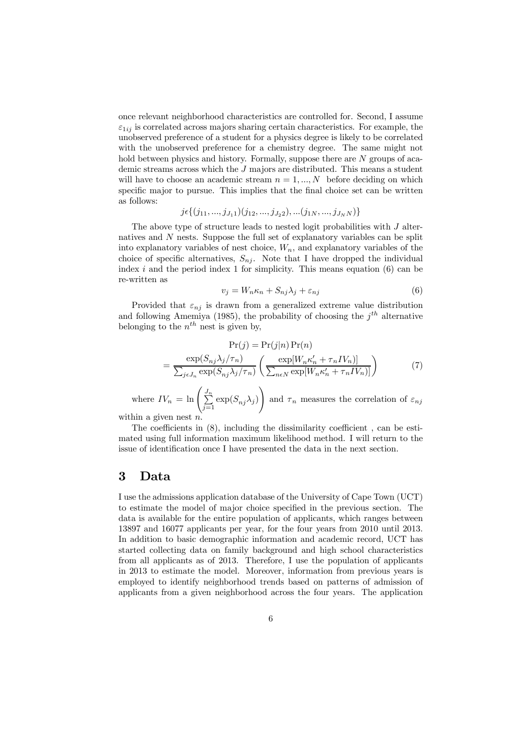once relevant neighborhood characteristics are controlled for. Second, I assume  $\varepsilon_{1ij}$  is correlated across majors sharing certain characteristics. For example, the unobserved preference of a student for a physics degree is likely to be correlated with the unobserved preference for a chemistry degree. The same might not hold between physics and history. Formally, suppose there are N groups of academic streams across which the J majors are distributed. This means a student will have to choose an academic stream  $n = 1, ..., N$  before deciding on which specific major to pursue. This implies that the final choice set can be written as follows:

$$
j \in \{ (j_{11},...,j_{J_1 1})(j_{12},...,j_{J_2 2}),...(j_{1N},...,j_{J_N N}) \}
$$

The above type of structure leads to nested logit probabilities with  $J$  alternatives and N nests. Suppose the full set of explanatory variables can be split into explanatory variables of nest choice,  $W_n$ , and explanatory variables of the choice of specific alternatives,  $S_{ni}$ . Note that I have dropped the individual index i and the period index 1 for simplicity. This means equation  $(6)$  can be re-written as

$$
v_j = W_n \kappa_n + S_{nj} \lambda_j + \varepsilon_{nj} \tag{6}
$$

Provided that  $\varepsilon_{nj}$  is drawn from a generalized extreme value distribution and following Amemiya (1985), the probability of choosing the  $j<sup>th</sup>$  alternative belonging to the  $n^{th}$  nest is given by,

$$
\Pr(j) = \Pr(j|n) \Pr(n)
$$

$$
= \frac{\exp(S_{nj}\lambda_j/\tau_n)}{\sum_{j \in J_n} \exp(S_{nj}\lambda_j/\tau_n)} \left(\frac{\exp[W_n \kappa_n' + \tau_n IV_n)]}{\sum_{n \in N} \exp[W_n \kappa_n' + \tau_n IV_n)]}\right)
$$
(7)

where  $IV_n = \ln \left( \frac{J_n}{\sum_{n=1}^{\infty} \frac{J_n}{\sqrt{n}} \right)$  $\sum_{j=1}^{\infty} \exp(S_{nj} \lambda_j)$  $\setminus$ and  $\tau_n$  measures the correlation of  $\varepsilon_{nj}$ 

within a given nest  $n$ .

The coefficients in (8), including the dissimilarity coefficient , can be estimated using full information maximum likelihood method. I will return to the issue of identification once I have presented the data in the next section.

#### 3 Data

I use the admissions application database of the University of Cape Town (UCT) to estimate the model of major choice specified in the previous section. The data is available for the entire population of applicants, which ranges between 13897 and 16077 applicants per year, for the four years from 2010 until 2013. In addition to basic demographic information and academic record, UCT has started collecting data on family background and high school characteristics from all applicants as of 2013. Therefore, I use the population of applicants in 2013 to estimate the model. Moreover, information from previous years is employed to identify neighborhood trends based on patterns of admission of applicants from a given neighborhood across the four years. The application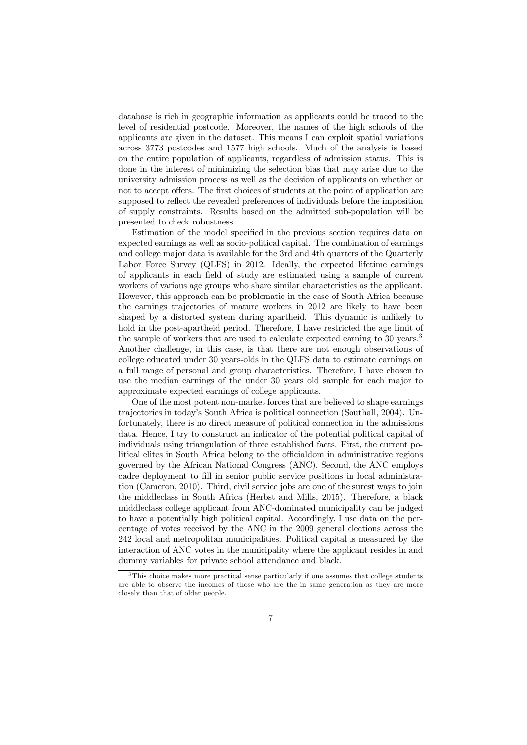database is rich in geographic information as applicants could be traced to the level of residential postcode. Moreover, the names of the high schools of the applicants are given in the dataset. This means I can exploit spatial variations across 3773 postcodes and 1577 high schools. Much of the analysis is based on the entire population of applicants, regardless of admission status. This is done in the interest of minimizing the selection bias that may arise due to the university admission process as well as the decision of applicants on whether or not to accept offers. The first choices of students at the point of application are supposed to reflect the revealed preferences of individuals before the imposition of supply constraints. Results based on the admitted sub-population will be presented to check robustness.

Estimation of the model specified in the previous section requires data on expected earnings as well as socio-political capital. The combination of earnings and college major data is available for the 3rd and 4th quarters of the Quarterly Labor Force Survey (QLFS) in 2012. Ideally, the expected lifetime earnings of applicants in each field of study are estimated using a sample of current workers of various age groups who share similar characteristics as the applicant. However, this approach can be problematic in the case of South Africa because the earnings trajectories of mature workers in 2012 are likely to have been shaped by a distorted system during apartheid. This dynamic is unlikely to hold in the post-apartheid period. Therefore, I have restricted the age limit of the sample of workers that are used to calculate expected earning to 30 years.<sup>3</sup> Another challenge, in this case, is that there are not enough observations of college educated under 30 years-olds in the QLFS data to estimate earnings on a full range of personal and group characteristics. Therefore, I have chosen to use the median earnings of the under 30 years old sample for each major to approximate expected earnings of college applicants.

One of the most potent non-market forces that are believed to shape earnings trajectories in today's South Africa is political connection (Southall, 2004). Unfortunately, there is no direct measure of political connection in the admissions data. Hence, I try to construct an indicator of the potential political capital of individuals using triangulation of three established facts. First, the current political elites in South Africa belong to the officialdom in administrative regions governed by the African National Congress (ANC). Second, the ANC employs cadre deployment to fill in senior public service positions in local administration (Cameron, 2010). Third, civil service jobs are one of the surest ways to join the middleclass in South Africa (Herbst and Mills, 2015). Therefore, a black middleclass college applicant from ANC-dominated municipality can be judged to have a potentially high political capital. Accordingly, I use data on the percentage of votes received by the ANC in the 2009 general elections across the 242 local and metropolitan municipalities. Political capital is measured by the interaction of ANC votes in the municipality where the applicant resides in and dummy variables for private school attendance and black.

<sup>&</sup>lt;sup>3</sup>This choice makes more practical sense particularly if one assumes that college students are able to observe the incomes of those who are the in same generation as they are more closely than that of older people.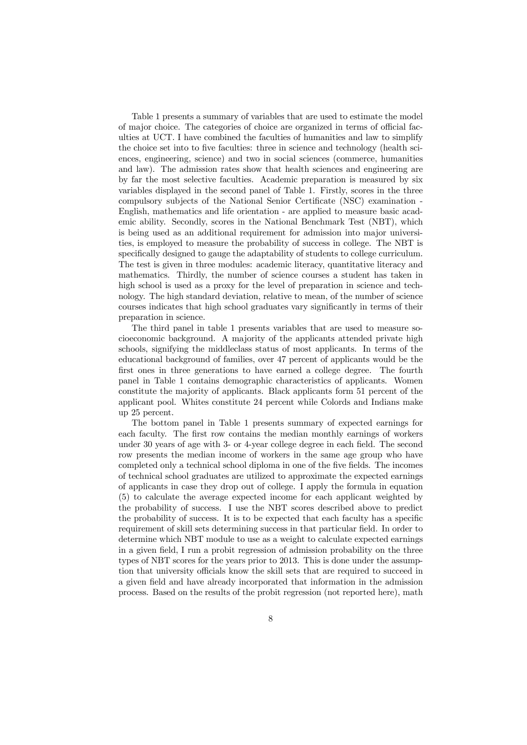Table 1 presents a summary of variables that are used to estimate the model of major choice. The categories of choice are organized in terms of official faculties at UCT. I have combined the faculties of humanities and law to simplify the choice set into to five faculties: three in science and technology (health sciences, engineering, science) and two in social sciences (commerce, humanities and law). The admission rates show that health sciences and engineering are by far the most selective faculties. Academic preparation is measured by six variables displayed in the second panel of Table 1. Firstly, scores in the three compulsory subjects of the National Senior Certificate (NSC) examination - English, mathematics and life orientation - are applied to measure basic academic ability. Secondly, scores in the National Benchmark Test (NBT), which is being used as an additional requirement for admission into major universities, is employed to measure the probability of success in college. The NBT is specifically designed to gauge the adaptability of students to college curriculum. The test is given in three modules: academic literacy, quantitative literacy and mathematics. Thirdly, the number of science courses a student has taken in high school is used as a proxy for the level of preparation in science and technology. The high standard deviation, relative to mean, of the number of science courses indicates that high school graduates vary significantly in terms of their preparation in science.

The third panel in table 1 presents variables that are used to measure socioeconomic background. A majority of the applicants attended private high schools, signifying the middleclass status of most applicants. In terms of the educational background of families, over 47 percent of applicants would be the first ones in three generations to have earned a college degree. The fourth panel in Table 1 contains demographic characteristics of applicants. Women constitute the majority of applicants. Black applicants form 51 percent of the applicant pool. Whites constitute 24 percent while Colords and Indians make up 25 percent.

The bottom panel in Table 1 presents summary of expected earnings for each faculty. The first row contains the median monthly earnings of workers under 30 years of age with 3- or 4-year college degree in each field. The second row presents the median income of workers in the same age group who have completed only a technical school diploma in one of the five fields. The incomes of technical school graduates are utilized to approximate the expected earnings of applicants in case they drop out of college. I apply the formula in equation (5) to calculate the average expected income for each applicant weighted by the probability of success. I use the NBT scores described above to predict the probability of success. It is to be expected that each faculty has a specific requirement of skill sets determining success in that particular field. In order to determine which NBT module to use as a weight to calculate expected earnings in a given field, I run a probit regression of admission probability on the three types of NBT scores for the years prior to 2013. This is done under the assumption that university officials know the skill sets that are required to succeed in a given field and have already incorporated that information in the admission process. Based on the results of the probit regression (not reported here), math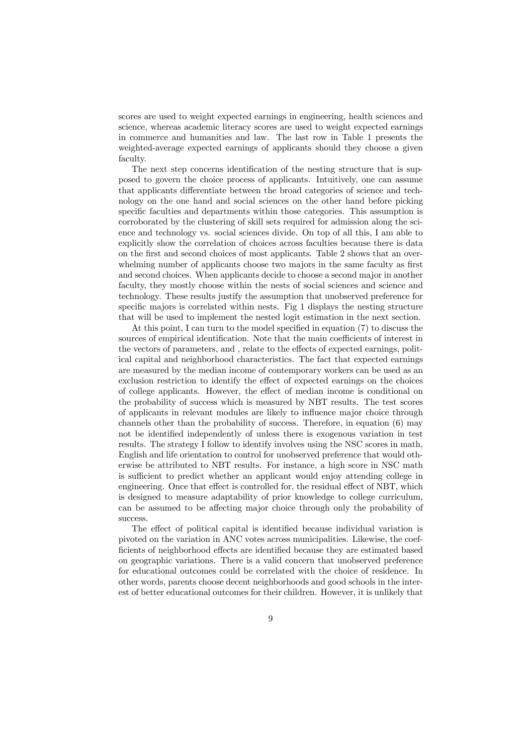scores are used to weight expected earnings in engineering, health sciences and science, whereas academic literacy scores are used to weight expected earnings in commerce and humanities and law. The last row in Table 1 presents the weighted-average expected earnings of applicants should they choose a given faculty.

The next step concerns identification of the nesting structure that is supposed to govern the choice process of applicants. Intuitively, one can assume that applicants differentiate between the broad categories of science and technology on the one hand and social sciences on the other hand before picking specific faculties and departments within those categories. This assumption is corroborated by the clustering of skill sets required for admission along the science and technology vs. social sciences divide. On top of all this, I am able to explicitly show the correlation of choices across faculties because there is data on the first and second choices of most applicants. Table 2 shows that an overwhelming number of applicants choose two majors in the same faculty as first and second choices. When applicants decide to choose a second major in another faculty, they mostly choose within the nests of social sciences and science and technology. These results justify the assumption that unobserved preference for specific majors is correlated within nests. Fig 1 displays the nesting structure that will be used to implement the nested logit estimation in the next section.

At this point, I can turn to the model specified in equation (7) to discuss the sources of empirical identification. Note that the main coefficients of interest in the vectors of parameters, and , relate to the effects of expected earnings, political capital and neighborhood characteristics. The fact that expected earnings are measured by the median income of contemporary workers can be used as an exclusion restriction to identify the effect of expected earnings on the choices of college applicants. However, the effect of median income is conditional on the probability of success which is measured by NBT results. The test scores of applicants in relevant modules are likely to influence major choice through channels other than the probability of success. Therefore, in equation (6) may not be identified independently of unless there is exogenous variation in test results. The strategy I follow to identify involves using the NSC scores in math, English and life orientation to control for unobserved preference that would otherwise be attributed to NBT results. For instance, a high score in NSC math is sufficient to predict whether an applicant would enjoy attending college in engineering. Once that effect is controlled for, the residual effect of NBT, which is designed to measure adaptability of prior knowledge to college curriculum, can be assumed to be affecting major choice through only the probability of success.

The effect of political capital is identified because individual variation is pivoted on the variation in ANC votes across municipalities. Likewise, the coefficients of neighborhood effects are identified because they are estimated based on geographic variations. There is a valid concern that unobserved preference for educational outcomes could be correlated with the choice of residence. In other words, parents choose decent neighborhoods and good schools in the interest of better educational outcomes for their children. However, it is unlikely that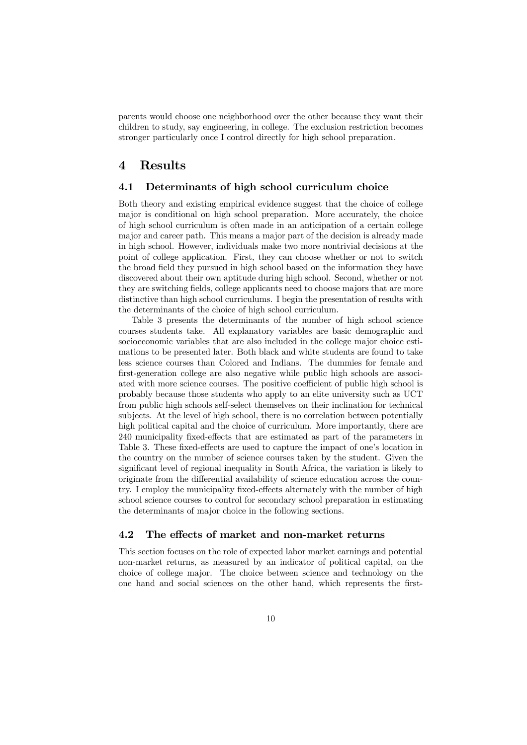parents would choose one neighborhood over the other because they want their children to study, say engineering, in college. The exclusion restriction becomes stronger particularly once I control directly for high school preparation.

#### 4 Results

#### 4.1 Determinants of high school curriculum choice

Both theory and existing empirical evidence suggest that the choice of college major is conditional on high school preparation. More accurately, the choice of high school curriculum is often made in an anticipation of a certain college major and career path. This means a major part of the decision is already made in high school. However, individuals make two more nontrivial decisions at the point of college application. First, they can choose whether or not to switch the broad field they pursued in high school based on the information they have discovered about their own aptitude during high school. Second, whether or not they are switching fields, college applicants need to choose majors that are more distinctive than high school curriculums. I begin the presentation of results with the determinants of the choice of high school curriculum.

Table 3 presents the determinants of the number of high school science courses students take. All explanatory variables are basic demographic and socioeconomic variables that are also included in the college major choice estimations to be presented later. Both black and white students are found to take less science courses than Colored and Indians. The dummies for female and first-generation college are also negative while public high schools are associated with more science courses. The positive coefficient of public high school is probably because those students who apply to an elite university such as UCT from public high schools self-select themselves on their inclination for technical subjects. At the level of high school, there is no correlation between potentially high political capital and the choice of curriculum. More importantly, there are 240 municipality fixed-effects that are estimated as part of the parameters in Table 3. These fixed-effects are used to capture the impact of one's location in the country on the number of science courses taken by the student. Given the significant level of regional inequality in South Africa, the variation is likely to originate from the differential availability of science education across the country. I employ the municipality fixed-effects alternately with the number of high school science courses to control for secondary school preparation in estimating the determinants of major choice in the following sections.

#### 4.2 The effects of market and non-market returns

This section focuses on the role of expected labor market earnings and potential non-market returns, as measured by an indicator of political capital, on the choice of college major. The choice between science and technology on the one hand and social sciences on the other hand, which represents the first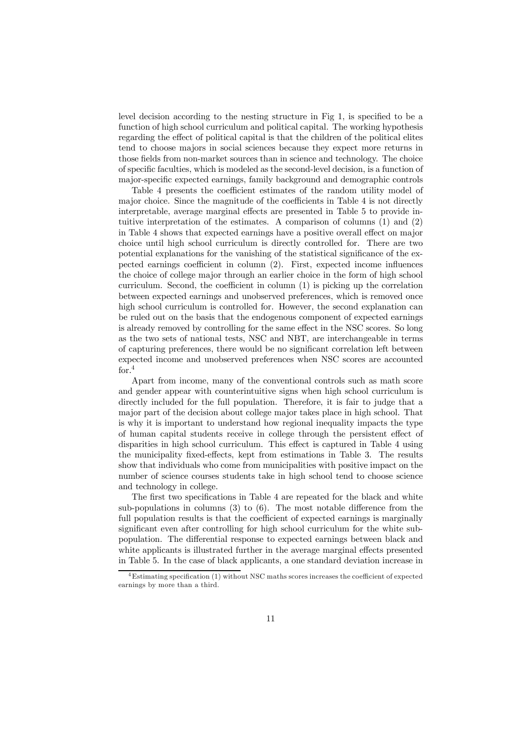level decision according to the nesting structure in Fig 1, is specified to be a function of high school curriculum and political capital. The working hypothesis regarding the effect of political capital is that the children of the political elites tend to choose majors in social sciences because they expect more returns in those fields from non-market sources than in science and technology. The choice of specific faculties, which is modeled as the second-level decision, is a function of major-specific expected earnings, family background and demographic controls

Table 4 presents the coefficient estimates of the random utility model of major choice. Since the magnitude of the coefficients in Table 4 is not directly interpretable, average marginal effects are presented in Table 5 to provide intuitive interpretation of the estimates. A comparison of columns (1) and (2) in Table 4 shows that expected earnings have a positive overall effect on major choice until high school curriculum is directly controlled for. There are two potential explanations for the vanishing of the statistical significance of the expected earnings coefficient in column (2). First, expected income influences the choice of college major through an earlier choice in the form of high school curriculum. Second, the coefficient in column (1) is picking up the correlation between expected earnings and unobserved preferences, which is removed once high school curriculum is controlled for. However, the second explanation can be ruled out on the basis that the endogenous component of expected earnings is already removed by controlling for the same effect in the NSC scores. So long as the two sets of national tests, NSC and NBT, are interchangeable in terms of capturing preferences, there would be no significant correlation left between expected income and unobserved preferences when NSC scores are accounted for. $4$ 

Apart from income, many of the conventional controls such as math score and gender appear with counterintuitive signs when high school curriculum is directly included for the full population. Therefore, it is fair to judge that a major part of the decision about college major takes place in high school. That is why it is important to understand how regional inequality impacts the type of human capital students receive in college through the persistent effect of disparities in high school curriculum. This effect is captured in Table 4 using the municipality fixed-effects, kept from estimations in Table 3. The results show that individuals who come from municipalities with positive impact on the number of science courses students take in high school tend to choose science and technology in college.

The first two specifications in Table 4 are repeated for the black and white sub-populations in columns (3) to (6). The most notable difference from the full population results is that the coefficient of expected earnings is marginally significant even after controlling for high school curriculum for the white subpopulation. The differential response to expected earnings between black and white applicants is illustrated further in the average marginal effects presented in Table 5. In the case of black applicants, a one standard deviation increase in

<sup>4</sup>Estimating specification (1) without NSC maths scores increases the coefficient of expected earnings by more than a third.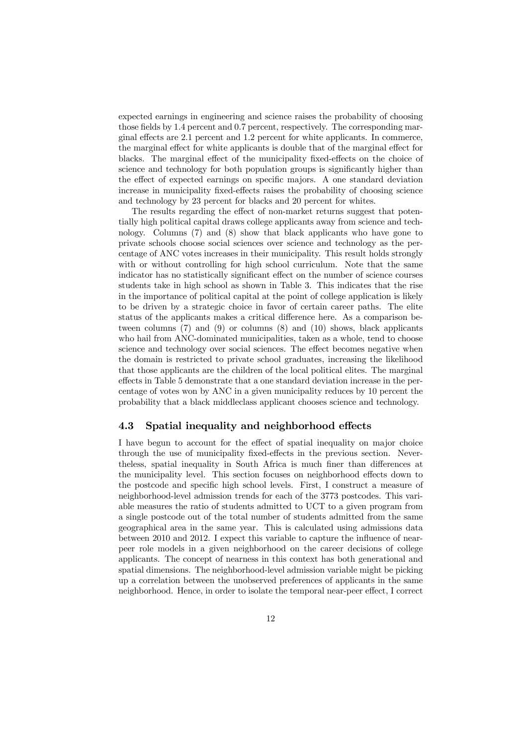expected earnings in engineering and science raises the probability of choosing those fields by 1.4 percent and 0.7 percent, respectively. The corresponding marginal effects are 2.1 percent and 1.2 percent for white applicants. In commerce, the marginal effect for white applicants is double that of the marginal effect for blacks. The marginal effect of the municipality fixed-effects on the choice of science and technology for both population groups is significantly higher than the effect of expected earnings on specific majors. A one standard deviation increase in municipality fixed-effects raises the probability of choosing science and technology by 23 percent for blacks and 20 percent for whites.

The results regarding the effect of non-market returns suggest that potentially high political capital draws college applicants away from science and technology. Columns (7) and (8) show that black applicants who have gone to private schools choose social sciences over science and technology as the percentage of ANC votes increases in their municipality. This result holds strongly with or without controlling for high school curriculum. Note that the same indicator has no statistically significant effect on the number of science courses students take in high school as shown in Table 3. This indicates that the rise in the importance of political capital at the point of college application is likely to be driven by a strategic choice in favor of certain career paths. The elite status of the applicants makes a critical difference here. As a comparison between columns (7) and (9) or columns (8) and (10) shows, black applicants who hail from ANC-dominated municipalities, taken as a whole, tend to choose science and technology over social sciences. The effect becomes negative when the domain is restricted to private school graduates, increasing the likelihood that those applicants are the children of the local political elites. The marginal effects in Table 5 demonstrate that a one standard deviation increase in the percentage of votes won by ANC in a given municipality reduces by 10 percent the probability that a black middleclass applicant chooses science and technology.

#### 4.3 Spatial inequality and neighborhood effects

I have begun to account for the effect of spatial inequality on major choice through the use of municipality fixed-effects in the previous section. Nevertheless, spatial inequality in South Africa is much finer than differences at the municipality level. This section focuses on neighborhood effects down to the postcode and specific high school levels. First, I construct a measure of neighborhood-level admission trends for each of the 3773 postcodes. This variable measures the ratio of students admitted to UCT to a given program from a single postcode out of the total number of students admitted from the same geographical area in the same year. This is calculated using admissions data between 2010 and 2012. I expect this variable to capture the influence of nearpeer role models in a given neighborhood on the career decisions of college applicants. The concept of nearness in this context has both generational and spatial dimensions. The neighborhood-level admission variable might be picking up a correlation between the unobserved preferences of applicants in the same neighborhood. Hence, in order to isolate the temporal near-peer effect, I correct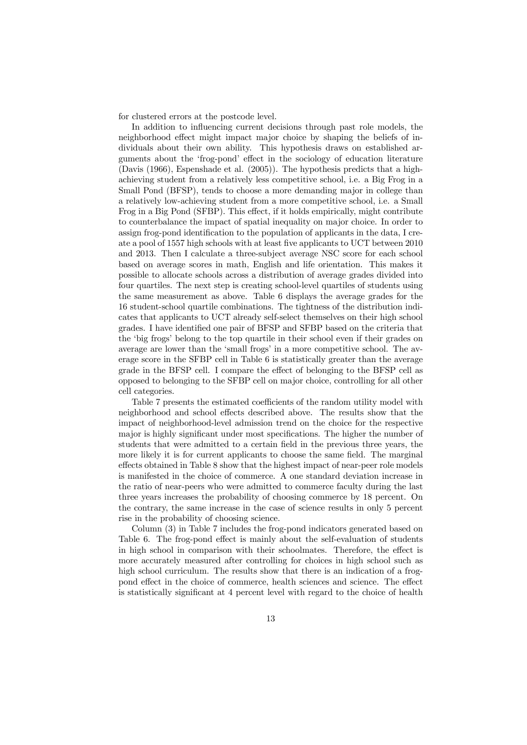for clustered errors at the postcode level.

In addition to influencing current decisions through past role models, the neighborhood effect might impact major choice by shaping the beliefs of individuals about their own ability. This hypothesis draws on established arguments about the 'frog-pond' effect in the sociology of education literature (Davis (1966), Espenshade et al. (2005)). The hypothesis predicts that a highachieving student from a relatively less competitive school, i.e. a Big Frog in a Small Pond (BFSP), tends to choose a more demanding major in college than a relatively low-achieving student from a more competitive school, i.e. a Small Frog in a Big Pond (SFBP). This effect, if it holds empirically, might contribute to counterbalance the impact of spatial inequality on major choice. In order to assign frog-pond identification to the population of applicants in the data, I create a pool of 1557 high schools with at least five applicants to UCT between 2010 and 2013. Then I calculate a three-subject average NSC score for each school based on average scores in math, English and life orientation. This makes it possible to allocate schools across a distribution of average grades divided into four quartiles. The next step is creating school-level quartiles of students using the same measurement as above. Table 6 displays the average grades for the 16 student-school quartile combinations. The tightness of the distribution indicates that applicants to UCT already self-select themselves on their high school grades. I have identified one pair of BFSP and SFBP based on the criteria that the 'big frogs' belong to the top quartile in their school even if their grades on average are lower than the 'small frogs' in a more competitive school. The average score in the SFBP cell in Table 6 is statistically greater than the average grade in the BFSP cell. I compare the effect of belonging to the BFSP cell as opposed to belonging to the SFBP cell on major choice, controlling for all other cell categories.

Table 7 presents the estimated coefficients of the random utility model with neighborhood and school effects described above. The results show that the impact of neighborhood-level admission trend on the choice for the respective major is highly significant under most specifications. The higher the number of students that were admitted to a certain field in the previous three years, the more likely it is for current applicants to choose the same field. The marginal effects obtained in Table 8 show that the highest impact of near-peer role models is manifested in the choice of commerce. A one standard deviation increase in the ratio of near-peers who were admitted to commerce faculty during the last three years increases the probability of choosing commerce by 18 percent. On the contrary, the same increase in the case of science results in only 5 percent rise in the probability of choosing science.

Column (3) in Table 7 includes the frog-pond indicators generated based on Table 6. The frog-pond effect is mainly about the self-evaluation of students in high school in comparison with their schoolmates. Therefore, the effect is more accurately measured after controlling for choices in high school such as high school curriculum. The results show that there is an indication of a frogpond effect in the choice of commerce, health sciences and science. The effect is statistically significant at 4 percent level with regard to the choice of health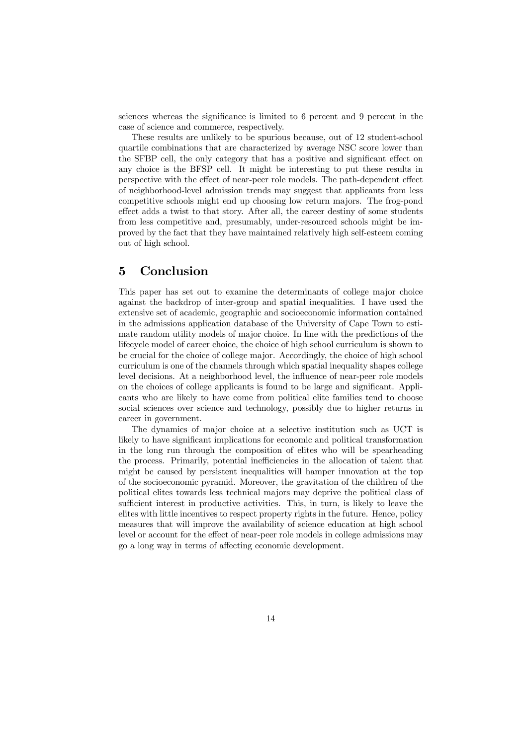sciences whereas the significance is limited to 6 percent and 9 percent in the case of science and commerce, respectively.

These results are unlikely to be spurious because, out of 12 student-school quartile combinations that are characterized by average NSC score lower than the SFBP cell, the only category that has a positive and significant effect on any choice is the BFSP cell. It might be interesting to put these results in perspective with the effect of near-peer role models. The path-dependent effect of neighborhood-level admission trends may suggest that applicants from less competitive schools might end up choosing low return majors. The frog-pond effect adds a twist to that story. After all, the career destiny of some students from less competitive and, presumably, under-resourced schools might be improved by the fact that they have maintained relatively high self-esteem coming out of high school.

#### 5 Conclusion

This paper has set out to examine the determinants of college major choice against the backdrop of inter-group and spatial inequalities. I have used the extensive set of academic, geographic and socioeconomic information contained in the admissions application database of the University of Cape Town to estimate random utility models of major choice. In line with the predictions of the lifecycle model of career choice, the choice of high school curriculum is shown to be crucial for the choice of college major. Accordingly, the choice of high school curriculum is one of the channels through which spatial inequality shapes college level decisions. At a neighborhood level, the influence of near-peer role models on the choices of college applicants is found to be large and significant. Applicants who are likely to have come from political elite families tend to choose social sciences over science and technology, possibly due to higher returns in career in government.

The dynamics of major choice at a selective institution such as UCT is likely to have significant implications for economic and political transformation in the long run through the composition of elites who will be spearheading the process. Primarily, potential inefficiencies in the allocation of talent that might be caused by persistent inequalities will hamper innovation at the top of the socioeconomic pyramid. Moreover, the gravitation of the children of the political elites towards less technical majors may deprive the political class of sufficient interest in productive activities. This, in turn, is likely to leave the elites with little incentives to respect property rights in the future. Hence, policy measures that will improve the availability of science education at high school level or account for the effect of near-peer role models in college admissions may go a long way in terms of affecting economic development.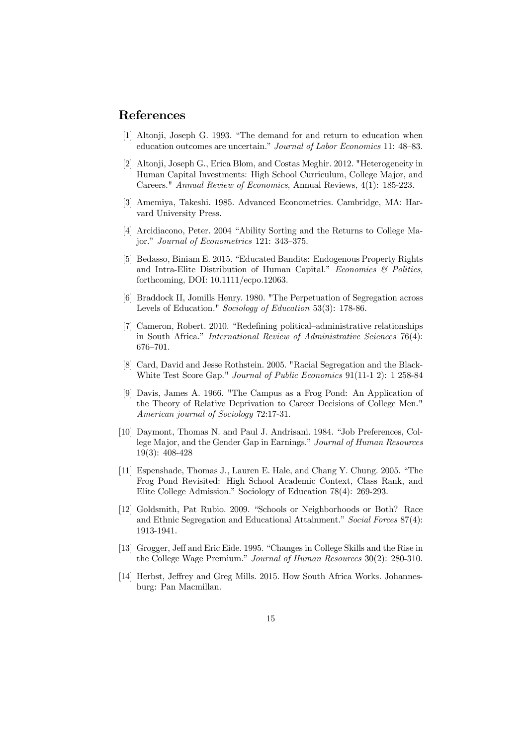## References

- [1] Altonji, Joseph G. 1993. "The demand for and return to education when education outcomes are uncertain." Journal of Labor Economics 11: 48—83.
- [2] Altonji, Joseph G., Erica Blom, and Costas Meghir. 2012. "Heterogeneity in Human Capital Investments: High School Curriculum, College Major, and Careers." Annual Review of Economics, Annual Reviews, 4(1): 185-223.
- [3] Amemiya, Takeshi. 1985. Advanced Econometrics. Cambridge, MA: Harvard University Press.
- [4] Arcidiacono, Peter. 2004 "Ability Sorting and the Returns to College Major." Journal of Econometrics 121: 343—375.
- [5] Bedasso, Biniam E. 2015. "Educated Bandits: Endogenous Property Rights and Intra-Elite Distribution of Human Capital." Economics  $\mathcal C$  Politics, forthcoming, DOI: 10.1111/ecpo.12063.
- [6] Braddock II, Jomills Henry. 1980. "The Perpetuation of Segregation across Levels of Education." Sociology of Education 53(3): 178-86.
- [7] Cameron, Robert. 2010. "Redefining political—administrative relationships in South Africa." International Review of Administrative Sciences 76(4): 676—701.
- [8] Card, David and Jesse Rothstein. 2005. "Racial Segregation and the Black-White Test Score Gap." Journal of Public Economics 91(11-1 2): 1 258-84
- [9] Davis, James A. 1966. "The Campus as a Frog Pond: An Application of the Theory of Relative Deprivation to Career Decisions of College Men." American journal of Sociology 72:17-31.
- [10] Daymont, Thomas N. and Paul J. Andrisani. 1984. "Job Preferences, College Major, and the Gender Gap in Earnings." Journal of Human Resources 19(3): 408-428
- [11] Espenshade, Thomas J., Lauren E. Hale, and Chang Y. Chung. 2005. "The Frog Pond Revisited: High School Academic Context, Class Rank, and Elite College Admission." Sociology of Education 78(4): 269-293.
- [12] Goldsmith, Pat Rubio. 2009. "Schools or Neighborhoods or Both? Race and Ethnic Segregation and Educational Attainment." Social Forces 87(4): 1913-1941.
- [13] Grogger, Jeff and Eric Eide. 1995. "Changes in College Skills and the Rise in the College Wage Premium." Journal of Human Resources 30(2): 280-310.
- [14] Herbst, Jeffrey and Greg Mills. 2015. How South Africa Works. Johannesburg: Pan Macmillan.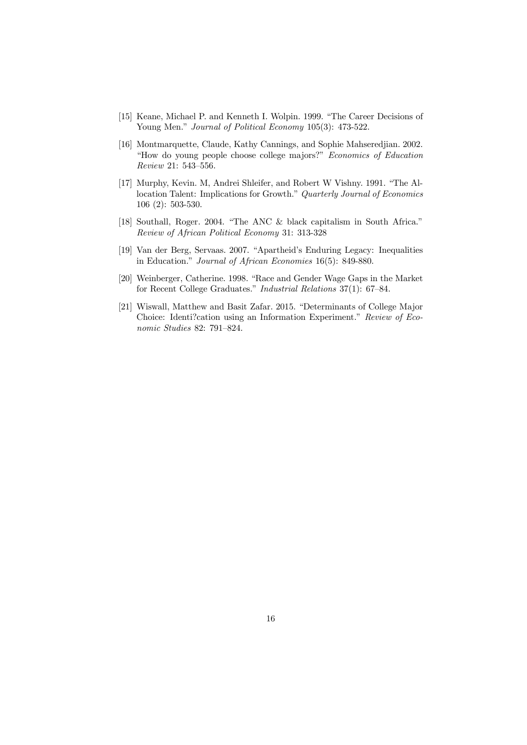- [15] Keane, Michael P. and Kenneth I. Wolpin. 1999. "The Career Decisions of Young Men." Journal of Political Economy 105(3): 473-522.
- [16] Montmarquette, Claude, Kathy Cannings, and Sophie Mahseredjian. 2002. "How do young people choose college majors?" Economics of Education Review 21: 543—556.
- [17] Murphy, Kevin. M, Andrei Shleifer, and Robert W Vishny. 1991. "The Allocation Talent: Implications for Growth." Quarterly Journal of Economics 106 (2): 503-530.
- [18] Southall, Roger. 2004. "The ANC & black capitalism in South Africa." Review of African Political Economy 31: 313-328
- [19] Van der Berg, Servaas. 2007. "Apartheid's Enduring Legacy: Inequalities in Education." Journal of African Economies 16(5): 849-880.
- [20] Weinberger, Catherine. 1998. "Race and Gender Wage Gaps in the Market for Recent College Graduates." Industrial Relations 37(1): 67—84.
- [21] Wiswall, Matthew and Basit Zafar. 2015. "Determinants of College Major Choice: Identi?cation using an Information Experiment." Review of Economic Studies 82: 791—824.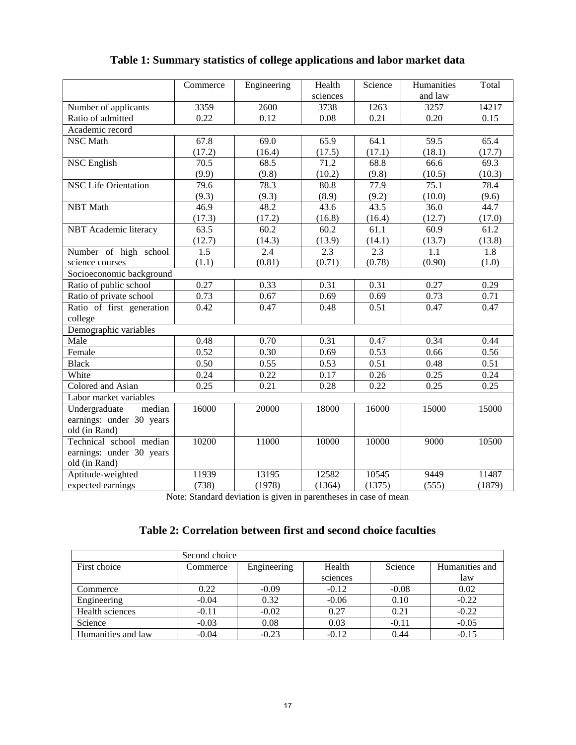|                             | Commerce         | Engineering | Health   | Science | Humanities | Total  |  |  |
|-----------------------------|------------------|-------------|----------|---------|------------|--------|--|--|
|                             |                  |             | sciences |         | and law    |        |  |  |
| Number of applicants        | 3359             | 2600        | 3738     | 1263    | 3257       | 14217  |  |  |
| Ratio of admitted           | 0.22             | 0.12        | 0.08     | 0.21    | 0.20       | 0.15   |  |  |
| Academic record             |                  |             |          |         |            |        |  |  |
| <b>NSC</b> Math             | 67.8             | 69.0        | 65.9     | 64.1    | 59.5       | 65.4   |  |  |
|                             | (17.2)           | (16.4)      | (17.5)   | (17.1)  | (18.1)     | (17.7) |  |  |
| <b>NSC English</b>          | 70.5             | 68.5        | 71.2     | 68.8    | 66.6       | 69.3   |  |  |
|                             | (9.9)            | (9.8)       | (10.2)   | (9.8)   | (10.5)     | (10.3) |  |  |
| <b>NSC Life Orientation</b> | 79.6             | 78.3        | 80.8     | 77.9    | 75.1       | 78.4   |  |  |
|                             | (9.3)            | (9.3)       | (8.9)    | (9.2)   | (10.0)     | (9.6)  |  |  |
| <b>NBT</b> Math             | 46.9             | 48.2        | 43.6     | 43.5    | 36.0       | 44.7   |  |  |
|                             | (17.3)           | (17.2)      | (16.8)   | (16.4)  | (12.7)     | (17.0) |  |  |
| NBT Academic literacy       | 63.5             | 60.2        | 60.2     | 61.1    | 60.9       | 61.2   |  |  |
|                             | (12.7)           | (14.3)      | (13.9)   | (14.1)  | (13.7)     | (13.8) |  |  |
| Number of high school       | $\overline{1.5}$ | 2.4         | 2.3      | 2.3     | 1.1        | 1.8    |  |  |
| science courses             | (1.1)            | (0.81)      | (0.71)   | (0.78)  | (0.90)     | (1.0)  |  |  |
| Socioeconomic background    |                  |             |          |         |            |        |  |  |
| Ratio of public school      | 0.27             | 0.33        | 0.31     | 0.31    | 0.27       | 0.29   |  |  |
| Ratio of private school     | 0.73             | 0.67        | 0.69     | 0.69    | 0.73       | 0.71   |  |  |
| Ratio of first generation   | 0.42             | 0.47        | 0.48     | 0.51    | 0.47       | 0.47   |  |  |
| college                     |                  |             |          |         |            |        |  |  |
| Demographic variables       |                  |             |          |         |            |        |  |  |
| Male                        | 0.48             | 0.70        | 0.31     | 0.47    | 0.34       | 0.44   |  |  |
| Female                      | 0.52             | 0.30        | 0.69     | 0.53    | 0.66       | 0.56   |  |  |
| <b>Black</b>                | 0.50             | 0.55        | 0.53     | 0.51    | 0.48       | 0.51   |  |  |
| White                       | 0.24             | 0.22        | 0.17     | 0.26    | 0.25       | 0.24   |  |  |
| Colored and Asian           | 0.25             | 0.21        | 0.28     | 0.22    | 0.25       | 0.25   |  |  |
| Labor market variables      |                  |             |          |         |            |        |  |  |
| Undergraduate<br>median     | 16000            | 20000       | 18000    | 16000   | 15000      | 15000  |  |  |
| earnings: under 30 years    |                  |             |          |         |            |        |  |  |
| old (in Rand)               |                  |             |          |         |            |        |  |  |
| Technical school median     | 10200            | 11000       | 10000    | 10000   | 9000       | 10500  |  |  |
| earnings: under 30 years    |                  |             |          |         |            |        |  |  |
| old (in Rand)               |                  |             |          |         |            |        |  |  |
| Aptitude-weighted           | 11939            | 13195       | 12582    | 10545   | 9449       | 11487  |  |  |
| expected earnings           | (738)            | (1978)      | (1364)   | (1375)  | (555)      | (1879) |  |  |

# **Table 1: Summary statistics of college applications and labor market data**

Note: Standard deviation is given in parentheses in case of mean

## **Table 2: Correlation between first and second choice faculties**

|                    | Second choice |             |          |         |                |
|--------------------|---------------|-------------|----------|---------|----------------|
| First choice       | Commerce      | Engineering | Health   | Science | Humanities and |
|                    |               |             | sciences |         | law            |
| Commerce           | 0.22          | $-0.09$     | $-0.12$  | $-0.08$ | 0.02           |
| Engineering        | $-0.04$       | 0.32        | $-0.06$  | 0.10    | $-0.22$        |
| Health sciences    | $-0.11$       | $-0.02$     | 0.27     | 0.21    | $-0.22$        |
| Science            | $-0.03$       | 0.08        | 0.03     | $-0.11$ | $-0.05$        |
| Humanities and law | $-0.04$       | $-0.23$     | $-0.12$  | 0.44    | $-0.15$        |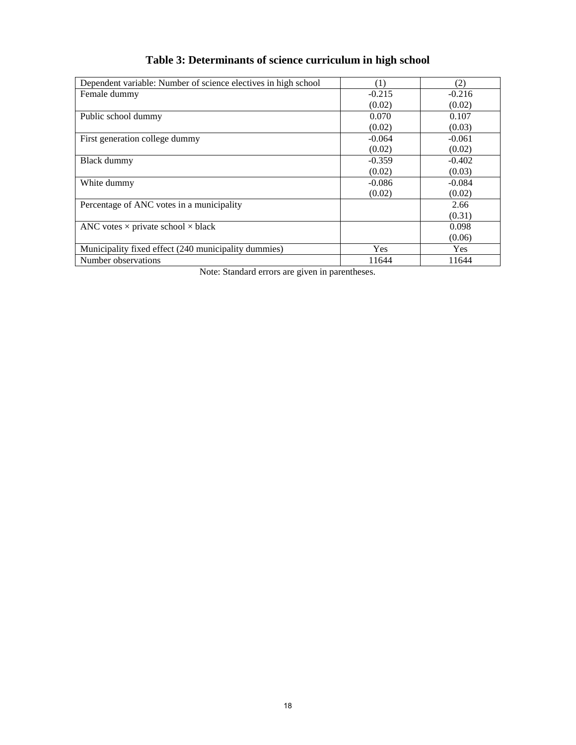| Dependent variable: Number of science electives in high school | (1)        | (2)        |
|----------------------------------------------------------------|------------|------------|
| Female dummy                                                   | $-0.215$   | $-0.216$   |
|                                                                | (0.02)     | (0.02)     |
| Public school dummy                                            | 0.070      | 0.107      |
|                                                                | (0.02)     | (0.03)     |
| First generation college dummy                                 | $-0.064$   | $-0.061$   |
|                                                                | (0.02)     | (0.02)     |
| Black dummy                                                    | $-0.359$   | $-0.402$   |
|                                                                | (0.02)     | (0.03)     |
| White dummy                                                    | $-0.086$   | $-0.084$   |
|                                                                | (0.02)     | (0.02)     |
| Percentage of ANC votes in a municipality                      |            | 2.66       |
|                                                                |            | (0.31)     |
| ANC votes $\times$ private school $\times$ black               |            | 0.098      |
|                                                                |            | (0.06)     |
| Municipality fixed effect (240 municipality dummies)           | <b>Yes</b> | <b>Yes</b> |
| Number observations                                            | 11644      | 11644      |

# **Table 3: Determinants of science curriculum in high school**

Note: Standard errors are given in parentheses.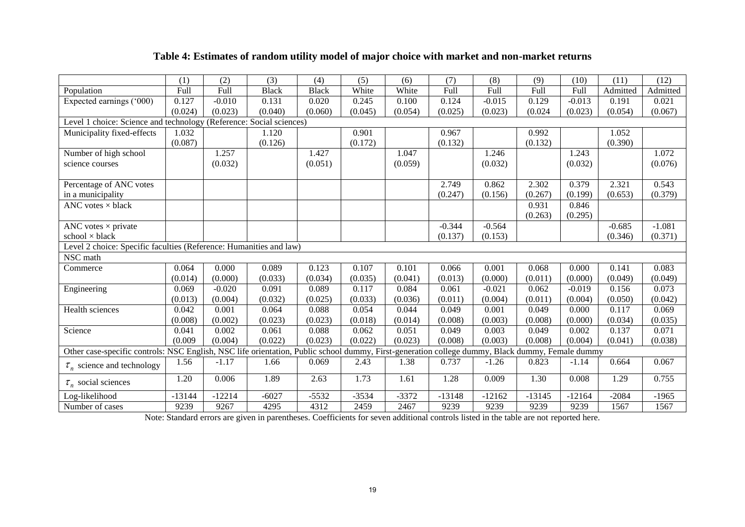### **Table 4: Estimates of random utility model of major choice with market and non-market returns**

|                                                                                                                                                 | (1)      | (2)      | (3)          | (4)          | (5)     | (6)     | (7)      | (8)      | (9)      | (10)     | (11)     | (12)     |
|-------------------------------------------------------------------------------------------------------------------------------------------------|----------|----------|--------------|--------------|---------|---------|----------|----------|----------|----------|----------|----------|
| Population                                                                                                                                      | Full     | Full     | <b>Black</b> | <b>Black</b> | White   | White   | Full     | Full     | Full     | Full     | Admitted | Admitted |
| Expected earnings ('000)                                                                                                                        | 0.127    | $-0.010$ | 0.131        | 0.020        | 0.245   | 0.100   | 0.124    | $-0.015$ | 0.129    | $-0.013$ | 0.191    | 0.021    |
|                                                                                                                                                 | (0.024)  | (0.023)  | (0.040)      | (0.060)      | (0.045) | (0.054) | (0.025)  | (0.023)  | (0.024)  | (0.023)  | (0.054)  | (0.067)  |
| Level 1 choice: Science and technology (Reference: Social sciences)                                                                             |          |          |              |              |         |         |          |          |          |          |          |          |
| Municipality fixed-effects                                                                                                                      | 1.032    |          | 1.120        |              | 0.901   |         | 0.967    |          | 0.992    |          | 1.052    |          |
|                                                                                                                                                 | (0.087)  |          | (0.126)      |              | (0.172) |         | (0.132)  |          | (0.132)  |          | (0.390)  |          |
| Number of high school                                                                                                                           |          | 1.257    |              | 1.427        |         | 1.047   |          | 1.246    |          | 1.243    |          | 1.072    |
| science courses                                                                                                                                 |          | (0.032)  |              | (0.051)      |         | (0.059) |          | (0.032)  |          | (0.032)  |          | (0.076)  |
|                                                                                                                                                 |          |          |              |              |         |         |          |          |          |          |          |          |
| Percentage of ANC votes                                                                                                                         |          |          |              |              |         |         | 2.749    | 0.862    | 2.302    | 0.379    | 2.321    | 0.543    |
| in a municipality                                                                                                                               |          |          |              |              |         |         | (0.247)  | (0.156)  | (0.267)  | (0.199)  | (0.653)  | (0.379)  |
| ANC votes $\times$ black                                                                                                                        |          |          |              |              |         |         |          |          | 0.931    | 0.846    |          |          |
|                                                                                                                                                 |          |          |              |              |         |         |          |          | (0.263)  | (0.295)  |          |          |
| ANC votes $\times$ private                                                                                                                      |          |          |              |              |         |         | $-0.344$ | $-0.564$ |          |          | $-0.685$ | $-1.081$ |
| $school \times black$                                                                                                                           |          |          |              |              |         |         | (0.137)  | (0.153)  |          |          | (0.346)  | (0.371)  |
| Level 2 choice: Specific faculties (Reference: Humanities and law)                                                                              |          |          |              |              |         |         |          |          |          |          |          |          |
| NSC math                                                                                                                                        |          |          |              |              |         |         |          |          |          |          |          |          |
| Commerce                                                                                                                                        | 0.064    | 0.000    | 0.089        | 0.123        | 0.107   | 0.101   | 0.066    | 0.001    | 0.068    | 0.000    | 0.141    | 0.083    |
|                                                                                                                                                 | (0.014)  | (0.000)  | (0.033)      | (0.034)      | (0.035) | (0.041) | (0.013)  | (0.000)  | (0.011)  | (0.000)  | (0.049)  | (0.049)  |
| Engineering                                                                                                                                     | 0.069    | $-0.020$ | 0.091        | 0.089        | 0.117   | 0.084   | 0.061    | $-0.021$ | 0.062    | $-0.019$ | 0.156    | 0.073    |
|                                                                                                                                                 | (0.013)  | (0.004)  | (0.032)      | (0.025)      | (0.033) | (0.036) | (0.011)  | (0.004)  | (0.011)  | (0.004)  | (0.050)  | (0.042)  |
| Health sciences                                                                                                                                 | 0.042    | 0.001    | 0.064        | 0.088        | 0.054   | 0.044   | 0.049    | 0.001    | 0.049    | 0.000    | 0.117    | 0.069    |
|                                                                                                                                                 | (0.008)  | (0.002)  | (0.023)      | (0.023)      | (0.018) | (0.014) | (0.008)  | (0.003)  | (0.008)  | (0.000)  | (0.034)  | (0.035)  |
| Science                                                                                                                                         | 0.041    | 0.002    | 0.061        | 0.088        | 0.062   | 0.051   | 0.049    | 0.003    | 0.049    | 0.002    | 0.137    | 0.071    |
|                                                                                                                                                 | (0.009)  | (0.004)  | (0.022)      | (0.023)      | (0.022) | (0.023) | (0.008)  | (0.003)  | (0.008)  | (0.004)  | (0.041)  | (0.038)  |
| Other case-specific controls: NSC English, NSC life orientation, Public school dummy, First-generation college dummy, Black dummy, Female dummy |          |          |              |              |         |         |          |          |          |          |          |          |
| $\tau_n$ science and technology                                                                                                                 | 1.56     | $-1.17$  | 1.66         | 0.069        | 2.43    | 1.38    | 0.737    | $-1.26$  | 0.823    | $-1.14$  | 0.664    | 0.067    |
| $\tau_n$ social sciences                                                                                                                        | 1.20     | 0.006    | 1.89         | 2.63         | 1.73    | 1.61    | 1.28     | 0.009    | 1.30     | 0.008    | 1.29     | 0.755    |
| Log-likelihood                                                                                                                                  | $-13144$ | $-12214$ | $-6027$      | $-5532$      | $-3534$ | $-3372$ | $-13148$ | $-12162$ | $-13145$ | $-12164$ | $-2084$  | $-1965$  |
| Number of cases                                                                                                                                 | 9239     | 9267     | 4295         | 4312         | 2459    | 2467    | 9239     | 9239     | 9239     | 9239     | 1567     | 1567     |

Note: Standard errors are given in parentheses. Coefficients for seven additional controls listed in the table are not reported here.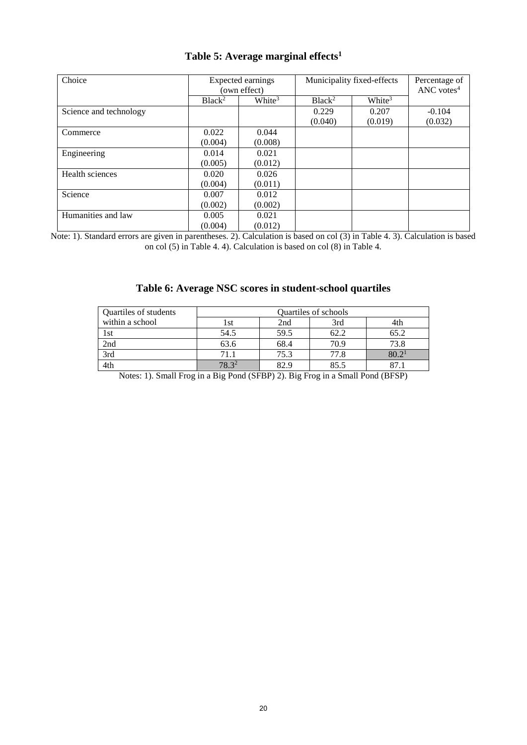| Choice                 | Expected earnings<br>(own effect) |                    | Municipality fixed-effects | Percentage of<br>ANC votes $4$ |          |
|------------------------|-----------------------------------|--------------------|----------------------------|--------------------------------|----------|
|                        |                                   |                    |                            |                                |          |
|                        | Black <sup>2</sup>                | White <sup>3</sup> | Black <sup>2</sup>         | White <sup>3</sup>             |          |
| Science and technology |                                   |                    | 0.229                      | 0.207                          | $-0.104$ |
|                        |                                   |                    | (0.040)                    | (0.019)                        | (0.032)  |
| Commerce               | 0.022                             | 0.044              |                            |                                |          |
|                        | (0.004)                           | (0.008)            |                            |                                |          |
| Engineering            | 0.014                             | 0.021              |                            |                                |          |
|                        | (0.005)                           | (0.012)            |                            |                                |          |
| Health sciences        | 0.020                             | 0.026              |                            |                                |          |
|                        | (0.004)                           | (0.011)            |                            |                                |          |
| Science                | 0.007                             | 0.012              |                            |                                |          |
|                        | (0.002)                           | (0.002)            |                            |                                |          |
| Humanities and law     | 0.005                             | 0.021              |                            |                                |          |
|                        | (0.004)                           | (0.012)            |                            |                                |          |

## **Table 5: Average marginal effects<sup>1</sup>**

Note: 1). Standard errors are given in parentheses. 2). Calculation is based on col (3) in Table 4. 3). Calculation is based on col (5) in Table 4. 4). Calculation is based on col (8) in Table 4.

## **Table 6: Average NSC scores in student-school quartiles**

| Quartiles of students | <b>Ouartiles of schools</b> |      |      |       |  |  |
|-----------------------|-----------------------------|------|------|-------|--|--|
| within a school       |                             | 2nd  | 3rd  |       |  |  |
| 1st                   | 54.5                        | 59.5 | 62.2 | 65.2  |  |  |
| 2nd                   | 63.6                        | 68.4 | 70.9 | 73.8  |  |  |
| 3rd                   | 71.1                        | 75.3 | 77.8 | 80.2' |  |  |
| 4th                   | 7832                        | 82.9 | 85.5 |       |  |  |

Notes: 1). Small Frog in a Big Pond (SFBP) 2). Big Frog in a Small Pond (BFSP)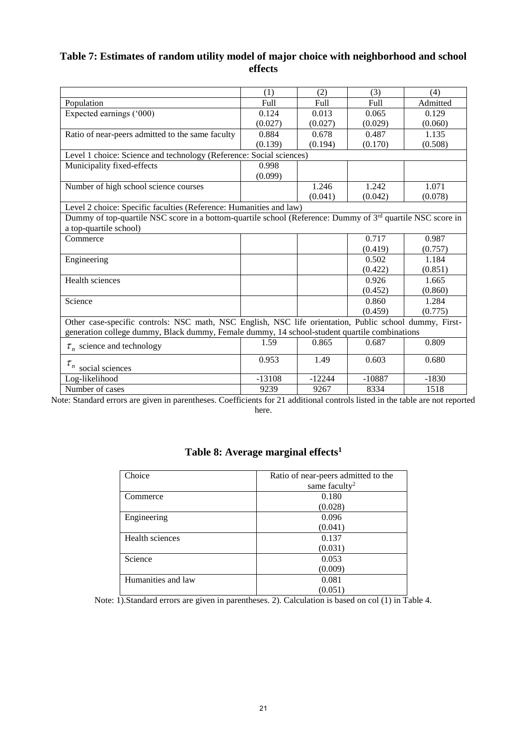## **Table 7: Estimates of random utility model of major choice with neighborhood and school effects**

|                                                                                                            | (1)      | (2)      | (3)      | (4)      |  |
|------------------------------------------------------------------------------------------------------------|----------|----------|----------|----------|--|
| Population                                                                                                 | Full     | Full     | Full     | Admitted |  |
| Expected earnings ('000)                                                                                   | 0.124    | 0.013    | 0.065    | 0.129    |  |
|                                                                                                            | (0.027)  | (0.027)  | (0.029)  | (0.060)  |  |
| Ratio of near-peers admitted to the same faculty                                                           | 0.884    | 0.678    | 0.487    | 1.135    |  |
|                                                                                                            | (0.139)  | (0.194)  | (0.170)  | (0.508)  |  |
| Level 1 choice: Science and technology (Reference: Social sciences)                                        |          |          |          |          |  |
| Municipality fixed-effects                                                                                 | 0.998    |          |          |          |  |
|                                                                                                            | (0.099)  |          |          |          |  |
| Number of high school science courses                                                                      |          | 1.246    | 1.242    | 1.071    |  |
|                                                                                                            |          | (0.041)  | (0.042)  | (0.078)  |  |
| Level 2 choice: Specific faculties (Reference: Humanities and law)                                         |          |          |          |          |  |
| Dummy of top-quartile NSC score in a bottom-quartile school (Reference: Dummy of 3rd quartile NSC score in |          |          |          |          |  |
| a top-quartile school)                                                                                     |          |          |          |          |  |
| Commerce                                                                                                   |          |          | 0.717    | 0.987    |  |
|                                                                                                            |          |          | (0.419)  | (0.757)  |  |
| Engineering                                                                                                |          |          | 0.502    | 1.184    |  |
|                                                                                                            |          |          | (0.422)  | (0.851)  |  |
| Health sciences                                                                                            |          |          | 0.926    | 1.665    |  |
|                                                                                                            |          |          | (0.452)  | (0.860)  |  |
| Science                                                                                                    |          |          | 0.860    | 1.284    |  |
|                                                                                                            |          |          | (0.459)  | (0.775)  |  |
| Other case-specific controls: NSC math, NSC English, NSC life orientation, Public school dummy, First-     |          |          |          |          |  |
| generation college dummy, Black dummy, Female dummy, 14 school-student quartile combinations               |          |          |          |          |  |
| $\tau_n$ science and technology                                                                            | 1.59     | 0.865    | 0.687    | 0.809    |  |
| $\tau_n$ social sciences                                                                                   | 0.953    | 1.49     | 0.603    | 0.680    |  |
| Log-likelihood                                                                                             | $-13108$ | $-12244$ | $-10887$ | $-1830$  |  |
| Number of cases                                                                                            | 9239     | 9267     | 8334     | 1518     |  |

Note: Standard errors are given in parentheses. Coefficients for 21 additional controls listed in the table are not reported here.

| Choice             | Ratio of near-peers admitted to the |
|--------------------|-------------------------------------|
|                    | same faculty <sup>2</sup>           |
| Commerce           | 0.180                               |
|                    | (0.028)                             |
| Engineering        | 0.096                               |
|                    | (0.041)                             |
| Health sciences    | 0.137                               |
|                    | (0.031)                             |
| Science            | 0.053                               |
|                    | (0.009)                             |
| Humanities and law | 0.081                               |
|                    | (0.051)                             |

## **Table 8: Average marginal effects<sup>1</sup>**

Note: 1).Standard errors are given in parentheses. 2). Calculation is based on col (1) in Table 4.